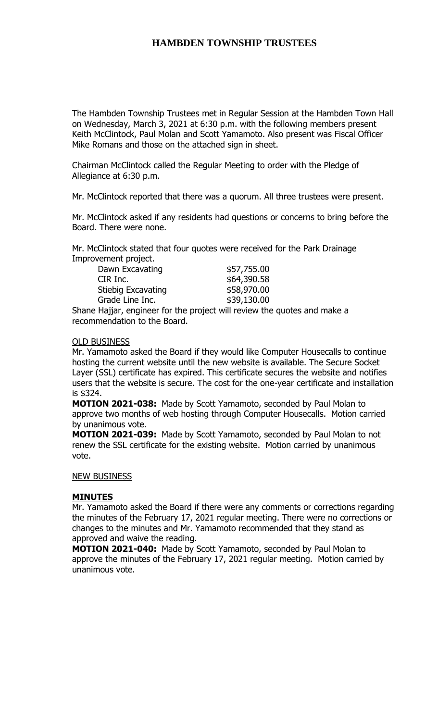The Hambden Township Trustees met in Regular Session at the Hambden Town Hall on Wednesday, March 3, 2021 at 6:30 p.m. with the following members present Keith McClintock, Paul Molan and Scott Yamamoto. Also present was Fiscal Officer Mike Romans and those on the attached sign in sheet.

Chairman McClintock called the Regular Meeting to order with the Pledge of Allegiance at 6:30 p.m.

Mr. McClintock reported that there was a quorum. All three trustees were present.

Mr. McClintock asked if any residents had questions or concerns to bring before the Board. There were none.

Mr. McClintock stated that four quotes were received for the Park Drainage Improvement project.

| Dawn Excavating           | \$57,755.00 |
|---------------------------|-------------|
| CIR Inc.                  | \$64,390.58 |
| <b>Stiebig Excavating</b> | \$58,970.00 |
| Grade Line Inc.           | \$39,130.00 |

Shane Hajjar, engineer for the project will review the quotes and make a recommendation to the Board.

#### OLD BUSINESS

Mr. Yamamoto asked the Board if they would like Computer Housecalls to continue hosting the current website until the new website is available. The Secure Socket Layer (SSL) certificate has expired. This certificate secures the website and notifies users that the website is secure. The cost for the one-year certificate and installation is \$324.

**MOTION 2021-038:** Made by Scott Yamamoto, seconded by Paul Molan to approve two months of web hosting through Computer Housecalls. Motion carried by unanimous vote.

**MOTION 2021-039:** Made by Scott Yamamoto, seconded by Paul Molan to not renew the SSL certificate for the existing website. Motion carried by unanimous vote.

### NEW BUSINESS

### **MINUTES**

Mr. Yamamoto asked the Board if there were any comments or corrections regarding the minutes of the February 17, 2021 regular meeting. There were no corrections or changes to the minutes and Mr. Yamamoto recommended that they stand as approved and waive the reading.

**MOTION 2021-040:** Made by Scott Yamamoto, seconded by Paul Molan to approve the minutes of the February 17, 2021 regular meeting. Motion carried by unanimous vote.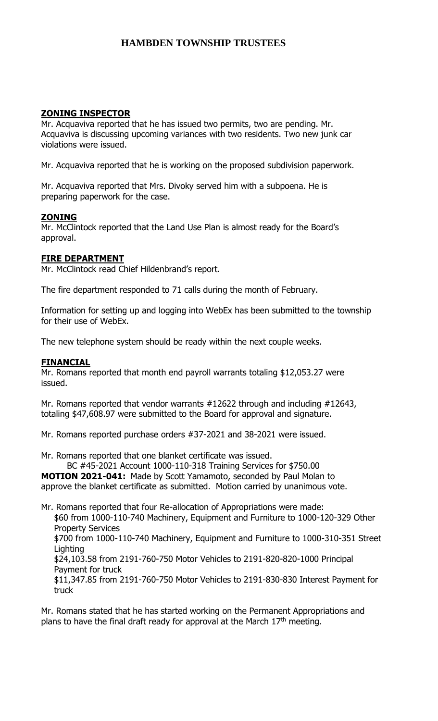## **ZONING INSPECTOR**

Mr. Acquaviva reported that he has issued two permits, two are pending. Mr. Acquaviva is discussing upcoming variances with two residents. Two new junk car violations were issued.

Mr. Acquaviva reported that he is working on the proposed subdivision paperwork.

Mr. Acquaviva reported that Mrs. Divoky served him with a subpoena. He is preparing paperwork for the case.

## **ZONING**

Mr. McClintock reported that the Land Use Plan is almost ready for the Board's approval.

## **FIRE DEPARTMENT**

Mr. McClintock read Chief Hildenbrand's report.

The fire department responded to 71 calls during the month of February.

Information for setting up and logging into WebEx has been submitted to the township for their use of WebEx.

The new telephone system should be ready within the next couple weeks.

## **FINANCIAL**

Mr. Romans reported that month end payroll warrants totaling \$12,053.27 were issued.

Mr. Romans reported that vendor warrants #12622 through and including #12643, totaling \$47,608.97 were submitted to the Board for approval and signature.

Mr. Romans reported purchase orders #37-2021 and 38-2021 were issued.

Mr. Romans reported that one blanket certificate was issued.

BC #45-2021 Account 1000-110-318 Training Services for \$750.00 **MOTION 2021-041:** Made by Scott Yamamoto, seconded by Paul Molan to approve the blanket certificate as submitted. Motion carried by unanimous vote.

Mr. Romans reported that four Re-allocation of Appropriations were made: \$60 from 1000-110-740 Machinery, Equipment and Furniture to 1000-120-329 Other

Property Services \$700 from 1000-110-740 Machinery, Equipment and Furniture to 1000-310-351 Street **Lighting** 

\$24,103.58 from 2191-760-750 Motor Vehicles to 2191-820-820-1000 Principal Payment for truck

\$11,347.85 from 2191-760-750 Motor Vehicles to 2191-830-830 Interest Payment for truck

Mr. Romans stated that he has started working on the Permanent Appropriations and plans to have the final draft ready for approval at the March  $17<sup>th</sup>$  meeting.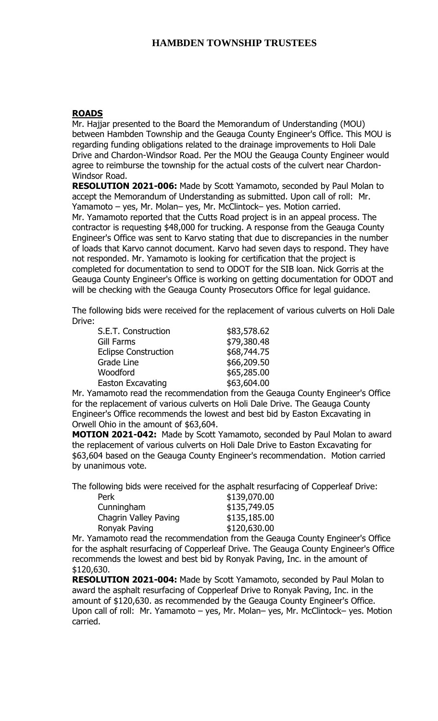## **ROADS**

Mr. Hajjar presented to the Board the Memorandum of Understanding (MOU) between Hambden Township and the Geauga County Engineer's Office. This MOU is regarding funding obligations related to the drainage improvements to Holi Dale Drive and Chardon-Windsor Road. Per the MOU the Geauga County Engineer would agree to reimburse the township for the actual costs of the culvert near Chardon-Windsor Road.

**RESOLUTION 2021-006:** Made by Scott Yamamoto, seconded by Paul Molan to accept the Memorandum of Understanding as submitted. Upon call of roll: Mr. Yamamoto – yes, Mr. Molan– yes, Mr. McClintock– yes. Motion carried. Mr. Yamamoto reported that the Cutts Road project is in an appeal process. The contractor is requesting \$48,000 for trucking. A response from the Geauga County Engineer's Office was sent to Karvo stating that due to discrepancies in the number of loads that Karvo cannot document. Karvo had seven days to respond. They have not responded. Mr. Yamamoto is looking for certification that the project is completed for documentation to send to ODOT for the SIB loan. Nick Gorris at the

Geauga County Engineer's Office is working on getting documentation for ODOT and will be checking with the Geauga County Prosecutors Office for legal guidance.

The following bids were received for the replacement of various culverts on Holi Dale Drive:

| S.E.T. Construction         | \$83,578.62 |
|-----------------------------|-------------|
| Gill Farms                  | \$79,380.48 |
| <b>Eclipse Construction</b> | \$68,744.75 |
| Grade Line                  | \$66,209.50 |
| Woodford                    | \$65,285.00 |
| Easton Excavating           | \$63,604.00 |

Mr. Yamamoto read the recommendation from the Geauga County Engineer's Office for the replacement of various culverts on Holi Dale Drive. The Geauga County Engineer's Office recommends the lowest and best bid by Easton Excavating in Orwell Ohio in the amount of \$63,604.

**MOTION 2021-042:** Made by Scott Yamamoto, seconded by Paul Molan to award the replacement of various culverts on Holi Dale Drive to Easton Excavating for \$63,604 based on the Geauga County Engineer's recommendation. Motion carried by unanimous vote.

The following bids were received for the asphalt resurfacing of Copperleaf Drive:

| Perk                  | \$139,070.00 |
|-----------------------|--------------|
| Cunningham            | \$135,749.05 |
| Chagrin Valley Paving | \$135,185.00 |
| Ronyak Paving         | \$120,630.00 |

Mr. Yamamoto read the recommendation from the Geauga County Engineer's Office for the asphalt resurfacing of Copperleaf Drive. The Geauga County Engineer's Office recommends the lowest and best bid by Ronyak Paving, Inc. in the amount of \$120,630.

**RESOLUTION 2021-004:** Made by Scott Yamamoto, seconded by Paul Molan to award the asphalt resurfacing of Copperleaf Drive to Ronyak Paving, Inc. in the amount of \$120,630. as recommended by the Geauga County Engineer's Office. Upon call of roll: Mr. Yamamoto – yes, Mr. Molan– yes, Mr. McClintock– yes. Motion carried.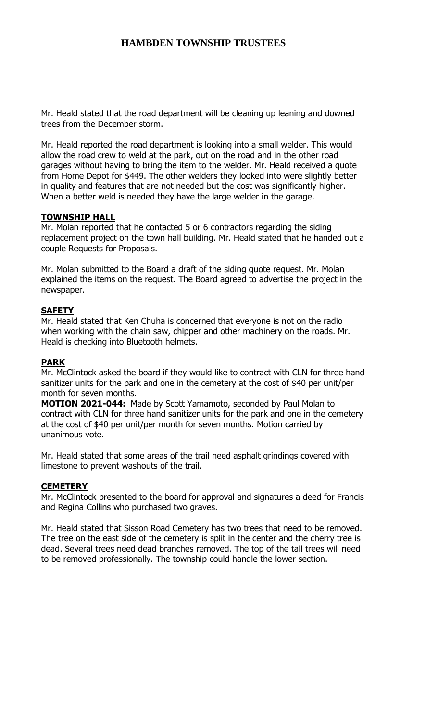Mr. Heald stated that the road department will be cleaning up leaning and downed trees from the December storm.

Mr. Heald reported the road department is looking into a small welder. This would allow the road crew to weld at the park, out on the road and in the other road garages without having to bring the item to the welder. Mr. Heald received a quote from Home Depot for \$449. The other welders they looked into were slightly better in quality and features that are not needed but the cost was significantly higher. When a better weld is needed they have the large welder in the garage.

## **TOWNSHIP HALL**

Mr. Molan reported that he contacted 5 or 6 contractors regarding the siding replacement project on the town hall building. Mr. Heald stated that he handed out a couple Requests for Proposals.

Mr. Molan submitted to the Board a draft of the siding quote request. Mr. Molan explained the items on the request. The Board agreed to advertise the project in the newspaper.

## **SAFETY**

Mr. Heald stated that Ken Chuha is concerned that everyone is not on the radio when working with the chain saw, chipper and other machinery on the roads. Mr. Heald is checking into Bluetooth helmets.

### **PARK**

Mr. McClintock asked the board if they would like to contract with CLN for three hand sanitizer units for the park and one in the cemetery at the cost of \$40 per unit/per month for seven months.

**MOTION 2021-044:** Made by Scott Yamamoto, seconded by Paul Molan to contract with CLN for three hand sanitizer units for the park and one in the cemetery at the cost of \$40 per unit/per month for seven months. Motion carried by unanimous vote.

Mr. Heald stated that some areas of the trail need asphalt grindings covered with limestone to prevent washouts of the trail.

### **CEMETERY**

Mr. McClintock presented to the board for approval and signatures a deed for Francis and Regina Collins who purchased two graves.

Mr. Heald stated that Sisson Road Cemetery has two trees that need to be removed. The tree on the east side of the cemetery is split in the center and the cherry tree is dead. Several trees need dead branches removed. The top of the tall trees will need to be removed professionally. The township could handle the lower section.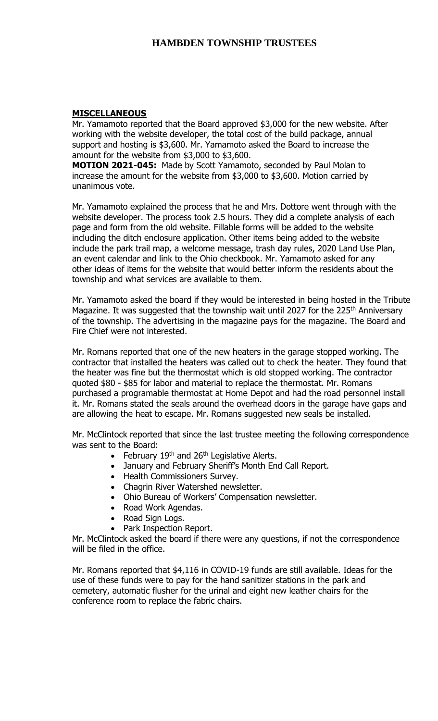### **MISCELLANEOUS**

Mr. Yamamoto reported that the Board approved \$3,000 for the new website. After working with the website developer, the total cost of the build package, annual support and hosting is \$3,600. Mr. Yamamoto asked the Board to increase the amount for the website from \$3,000 to \$3,600.

**MOTION 2021-045:** Made by Scott Yamamoto, seconded by Paul Molan to increase the amount for the website from \$3,000 to \$3,600. Motion carried by unanimous vote.

Mr. Yamamoto explained the process that he and Mrs. Dottore went through with the website developer. The process took 2.5 hours. They did a complete analysis of each page and form from the old website. Fillable forms will be added to the website including the ditch enclosure application. Other items being added to the website include the park trail map, a welcome message, trash day rules, 2020 Land Use Plan, an event calendar and link to the Ohio checkbook. Mr. Yamamoto asked for any other ideas of items for the website that would better inform the residents about the township and what services are available to them.

Mr. Yamamoto asked the board if they would be interested in being hosted in the Tribute Magazine. It was suggested that the township wait until 2027 for the 225<sup>th</sup> Anniversary of the township. The advertising in the magazine pays for the magazine. The Board and Fire Chief were not interested.

Mr. Romans reported that one of the new heaters in the garage stopped working. The contractor that installed the heaters was called out to check the heater. They found that the heater was fine but the thermostat which is old stopped working. The contractor quoted \$80 - \$85 for labor and material to replace the thermostat. Mr. Romans purchased a programable thermostat at Home Depot and had the road personnel install it. Mr. Romans stated the seals around the overhead doors in the garage have gaps and are allowing the heat to escape. Mr. Romans suggested new seals be installed.

Mr. McClintock reported that since the last trustee meeting the following correspondence was sent to the Board:

- February  $19<sup>th</sup>$  and  $26<sup>th</sup>$  Legislative Alerts.
- January and February Sheriff's Month End Call Report.
- Health Commissioners Survey.
- Chagrin River Watershed newsletter.
- Ohio Bureau of Workers' Compensation newsletter.
- Road Work Agendas.
- Road Sign Logs.
- Park Inspection Report.

Mr. McClintock asked the board if there were any questions, if not the correspondence will be filed in the office.

Mr. Romans reported that \$4,116 in COVID-19 funds are still available. Ideas for the use of these funds were to pay for the hand sanitizer stations in the park and cemetery, automatic flusher for the urinal and eight new leather chairs for the conference room to replace the fabric chairs.